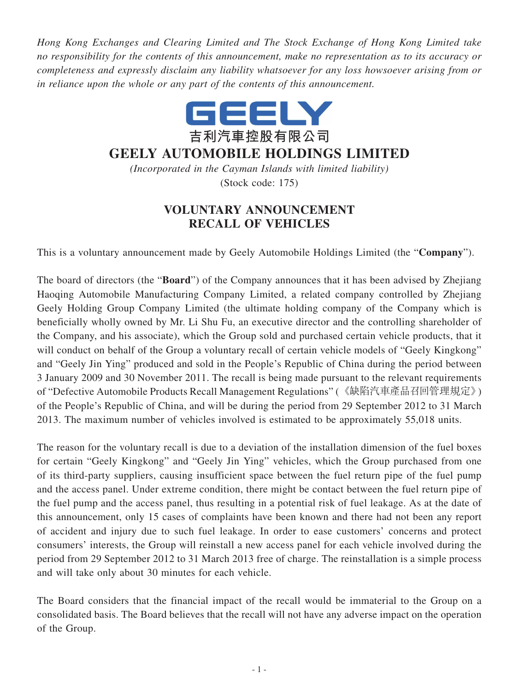*Hong Kong Exchanges and Clearing Limited and The Stock Exchange of Hong Kong Limited take no responsibility for the contents of this announcement, make no representation as to its accuracy or completeness and expressly disclaim any liability whatsoever for any loss howsoever arising from or in reliance upon the whole or any part of the contents of this announcement.*



## **GEELY AUTOMOBILE HOLDINGS LIMITED**

*(Incorporated in the Cayman Islands with limited liability)* (Stock code: 175)

## **VOLUNTARY ANNOUNCEMENT RECALL OF VEHICLES**

This is a voluntary announcement made by Geely Automobile Holdings Limited (the "**Company**").

The board of directors (the "**Board**") of the Company announces that it has been advised by Zhejiang Haoqing Automobile Manufacturing Company Limited, a related company controlled by Zhejiang Geely Holding Group Company Limited (the ultimate holding company of the Company which is beneficially wholly owned by Mr. Li Shu Fu, an executive director and the controlling shareholder of the Company, and his associate), which the Group sold and purchased certain vehicle products, that it will conduct on behalf of the Group a voluntary recall of certain vehicle models of "Geely Kingkong" and "Geely Jin Ying" produced and sold in the People's Republic of China during the period between 3 January 2009 and 30 November 2011. The recall is being made pursuant to the relevant requirements of "Defective Automobile Products Recall Management Regulations" (《缺陷汽車產品召回管理規定》) of the People's Republic of China, and will be during the period from 29 September 2012 to 31 March 2013. The maximum number of vehicles involved is estimated to be approximately 55,018 units.

The reason for the voluntary recall is due to a deviation of the installation dimension of the fuel boxes for certain "Geely Kingkong" and "Geely Jin Ying" vehicles, which the Group purchased from one of its third-party suppliers, causing insufficient space between the fuel return pipe of the fuel pump and the access panel. Under extreme condition, there might be contact between the fuel return pipe of the fuel pump and the access panel, thus resulting in a potential risk of fuel leakage. As at the date of this announcement, only 15 cases of complaints have been known and there had not been any report of accident and injury due to such fuel leakage. In order to ease customers' concerns and protect consumers' interests, the Group will reinstall a new access panel for each vehicle involved during the period from 29 September 2012 to 31 March 2013 free of charge. The reinstallation is a simple process and will take only about 30 minutes for each vehicle.

The Board considers that the financial impact of the recall would be immaterial to the Group on a consolidated basis. The Board believes that the recall will not have any adverse impact on the operation of the Group.